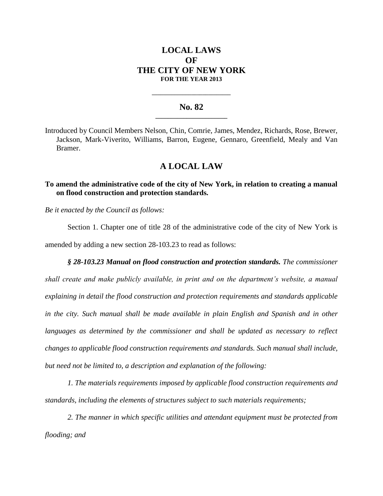# **LOCAL LAWS OF THE CITY OF NEW YORK FOR THE YEAR 2013**

### **No. 82 \_\_\_\_\_\_\_\_\_\_\_\_\_\_\_\_\_\_\_\_\_\_\_**

**\_\_\_\_\_\_\_\_\_\_\_\_\_\_\_\_\_\_\_\_\_\_\_\_\_\_\_\_**

Introduced by Council Members Nelson, Chin, Comrie, James, Mendez, Richards, Rose, Brewer, Jackson, Mark-Viverito, Williams, Barron, Eugene, Gennaro, Greenfield, Mealy and Van Bramer.

# **A LOCAL LAW**

### **To amend the administrative code of the city of New York, in relation to creating a manual on flood construction and protection standards.**

*Be it enacted by the Council as follows:*

Section 1. Chapter one of title 28 of the administrative code of the city of New York is amended by adding a new section 28-103.23 to read as follows:

*§ 28-103.23 Manual on flood construction and protection standards. The commissioner shall create and make publicly available, in print and on the department's website, a manual explaining in detail the flood construction and protection requirements and standards applicable in the city. Such manual shall be made available in plain English and Spanish and in other languages as determined by the commissioner and shall be updated as necessary to reflect changes to applicable flood construction requirements and standards. Such manual shall include, but need not be limited to, a description and explanation of the following:*

*1. The materials requirements imposed by applicable flood construction requirements and standards, including the elements of structures subject to such materials requirements;*

*2. The manner in which specific utilities and attendant equipment must be protected from flooding; and*